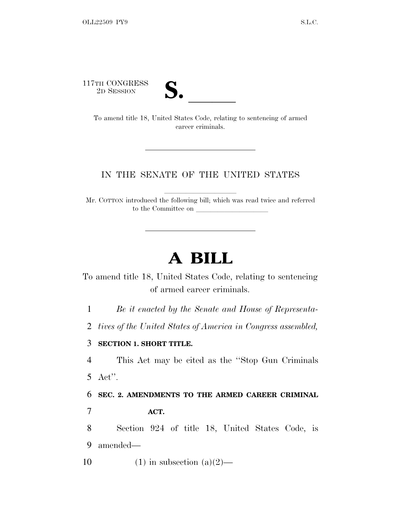117TH CONGRESS<br>2D SESSION



TH CONGRESS<br>
2D SESSION<br>
To amend title 18, United States Code, relating to sentencing of armed career criminals.

## IN THE SENATE OF THE UNITED STATES

Mr. COTTON introduced the following bill; which was read twice and referred to the Committee on

## **A BILL**

To amend title 18, United States Code, relating to sentencing of armed career criminals.

1 *Be it enacted by the Senate and House of Representa-*

2 *tives of the United States of America in Congress assembled,*

## 3 **SECTION 1. SHORT TITLE.**

4 This Act may be cited as the ''Stop Gun Criminals 5 Act''.

6 **SEC. 2. AMENDMENTS TO THE ARMED CAREER CRIMINAL** 7 **ACT.**

8 Section 924 of title 18, United States Code, is 9 amended—

10 (1) in subsection  $(a)(2)$ —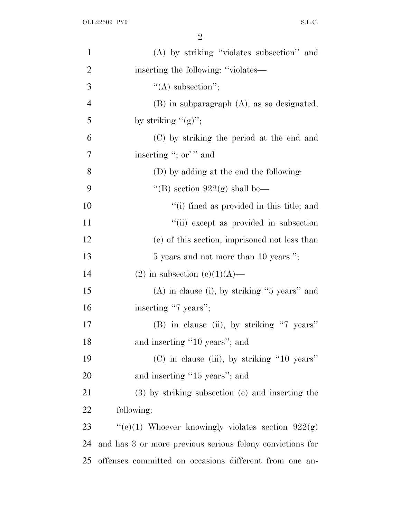2

| $\mathbf{1}$   | (A) by striking "violates subsection" and                 |
|----------------|-----------------------------------------------------------|
| $\overline{c}$ | inserting the following: "violates—                       |
| 3              | $\lq\lq$ subsection";                                     |
| $\overline{4}$ | $(B)$ in subparagraph $(A)$ , as so designated,           |
| 5              | by striking $"({g})"$ ;                                   |
| 6              | (C) by striking the period at the end and                 |
| 7              | inserting "; or" and                                      |
| 8              | (D) by adding at the end the following:                   |
| 9              | "(B) section $922(g)$ shall be—                           |
| 10             | "(i) fined as provided in this title; and                 |
| 11             | "(ii) except as provided in subsection                    |
| 12             | (e) of this section, imprisoned not less than             |
| 13             | 5 years and not more than 10 years.";                     |
| 14             | $(2)$ in subsection $(c)(1)(A)$ —                         |
| 15             | $(A)$ in clause (i), by striking "5 years" and            |
| 16             | inserting "7 years";                                      |
| 17             | (B) in clause (ii), by striking "7 years"                 |
| 18             | and inserting "10 years"; and                             |
| 19             | $(C)$ in clause (iii), by striking "10 years"             |
| <b>20</b>      | and inserting "15 years"; and                             |
| 21             | (3) by striking subsection (e) and inserting the          |
| 22             | following:                                                |
| 23             | "(e)(1) Whoever knowingly violates section $922(g)$       |
| 24             | and has 3 or more previous serious felony convictions for |
| 25             | offenses committed on occasions different from one an-    |
|                |                                                           |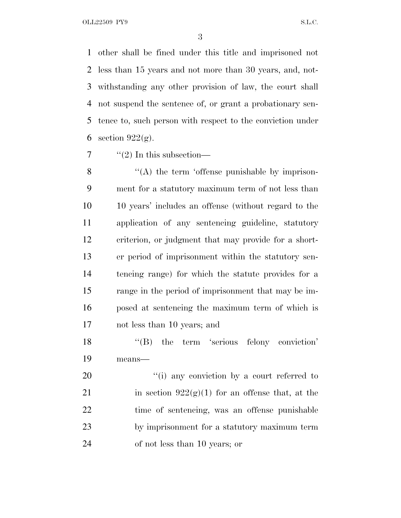OLL22509 PY9 S.L.C.

 other shall be fined under this title and imprisoned not less than 15 years and not more than 30 years, and, not- withstanding any other provision of law, the court shall not suspend the sentence of, or grant a probationary sen- tence to, such person with respect to the conviction under 6 section  $922(g)$ .

 $7 \qquad \text{``(2)}$  In this subsection—

8 "(A) the term 'offense punishable by imprison- ment for a statutory maximum term of not less than 10 years' includes an offense (without regard to the application of any sentencing guideline, statutory criterion, or judgment that may provide for a short- er period of imprisonment within the statutory sen- tencing range) for which the statute provides for a range in the period of imprisonment that may be im- posed at sentencing the maximum term of which is not less than 10 years; and

18 "(B) the term 'serious felony conviction' means—

20 "(i) any conviction by a court referred to 21 in section  $922(g)(1)$  for an offense that, at the time of sentencing, was an offense punishable by imprisonment for a statutory maximum term of not less than 10 years; or